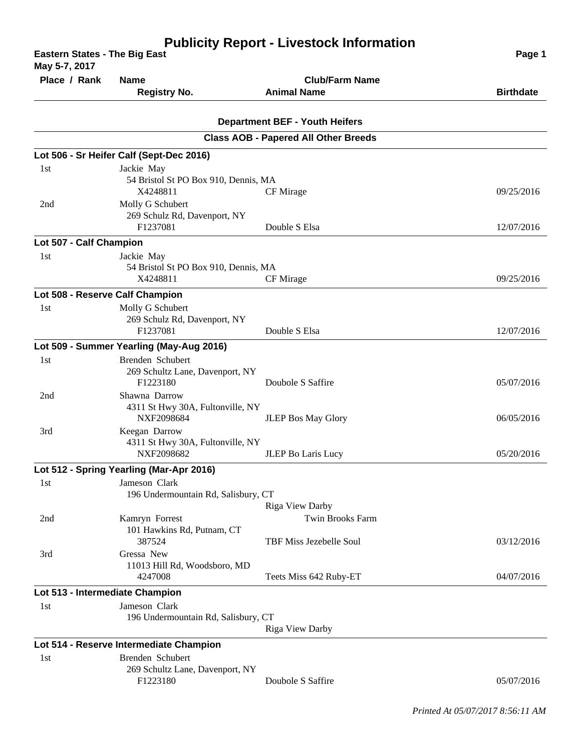| <b>Eastern States - The Big East</b><br>May 5-7, 2017 | Page 1                                      |                                             |                  |
|-------------------------------------------------------|---------------------------------------------|---------------------------------------------|------------------|
| Place / Rank                                          | <b>Name</b>                                 | <b>Club/Farm Name</b>                       |                  |
|                                                       | <b>Registry No.</b>                         | <b>Animal Name</b>                          | <b>Birthdate</b> |
|                                                       |                                             | <b>Department BEF - Youth Heifers</b>       |                  |
|                                                       |                                             | <b>Class AOB - Papered All Other Breeds</b> |                  |
|                                                       | Lot 506 - Sr Heifer Calf (Sept-Dec 2016)    |                                             |                  |
| 1st                                                   | Jackie May                                  |                                             |                  |
|                                                       | 54 Bristol St PO Box 910, Dennis, MA        |                                             |                  |
|                                                       | X4248811                                    | CF Mirage                                   | 09/25/2016       |
| 2nd                                                   | Molly G Schubert                            |                                             |                  |
|                                                       | 269 Schulz Rd, Davenport, NY                |                                             |                  |
|                                                       | F1237081                                    | Double S Elsa                               | 12/07/2016       |
| Lot 507 - Calf Champion                               |                                             |                                             |                  |
| 1st                                                   | Jackie May                                  |                                             |                  |
|                                                       | 54 Bristol St PO Box 910, Dennis, MA        |                                             |                  |
|                                                       | X4248811                                    | CF Mirage                                   | 09/25/2016       |
| Lot 508 - Reserve Calf Champion                       |                                             |                                             |                  |
| 1st                                                   | Molly G Schubert                            |                                             |                  |
|                                                       | 269 Schulz Rd, Davenport, NY                |                                             |                  |
|                                                       | F1237081                                    | Double S Elsa                               | 12/07/2016       |
|                                                       | Lot 509 - Summer Yearling (May-Aug 2016)    |                                             |                  |
| 1st                                                   | Brenden Schubert                            |                                             |                  |
|                                                       | 269 Schultz Lane, Davenport, NY             |                                             |                  |
|                                                       | F1223180                                    | Doubole S Saffire                           | 05/07/2016       |
| 2nd                                                   | Shawna Darrow                               |                                             |                  |
|                                                       | 4311 St Hwy 30A, Fultonville, NY            |                                             |                  |
|                                                       | NXF2098684                                  | JLEP Bos May Glory                          | 06/05/2016       |
| 3rd                                                   | Keegan Darrow                               |                                             |                  |
|                                                       | 4311 St Hwy 30A, Fultonville, NY            |                                             |                  |
|                                                       | NXF2098682                                  | JLEP Bo Laris Lucy                          | 05/20/2016       |
|                                                       | Lot 512 - Spring Yearling (Mar-Apr 2016)    |                                             |                  |
| 1st                                                   | Jameson Clark                               |                                             |                  |
|                                                       | 196 Undermountain Rd, Salisbury, CT         |                                             |                  |
|                                                       |                                             | <b>Riga View Darby</b>                      |                  |
| 2nd                                                   | Kamryn Forrest                              | Twin Brooks Farm                            |                  |
|                                                       | 101 Hawkins Rd, Putnam, CT                  |                                             |                  |
|                                                       | 387524                                      | TBF Miss Jezebelle Soul                     | 03/12/2016       |
| 3rd                                                   | Gressa New                                  |                                             |                  |
|                                                       | 11013 Hill Rd, Woodsboro, MD                |                                             | 04/07/2016       |
|                                                       | 4247008                                     | Teets Miss 642 Ruby-ET                      |                  |
| Lot 513 - Intermediate Champion                       |                                             |                                             |                  |
| 1st                                                   | Jameson Clark                               |                                             |                  |
|                                                       | 196 Undermountain Rd, Salisbury, CT         | Riga View Darby                             |                  |
|                                                       |                                             |                                             |                  |
|                                                       | Lot 514 - Reserve Intermediate Champion     |                                             |                  |
| 1st                                                   | Brenden Schubert                            |                                             |                  |
|                                                       | 269 Schultz Lane, Davenport, NY<br>F1223180 | Doubole S Saffire                           | 05/07/2016       |
|                                                       |                                             |                                             |                  |